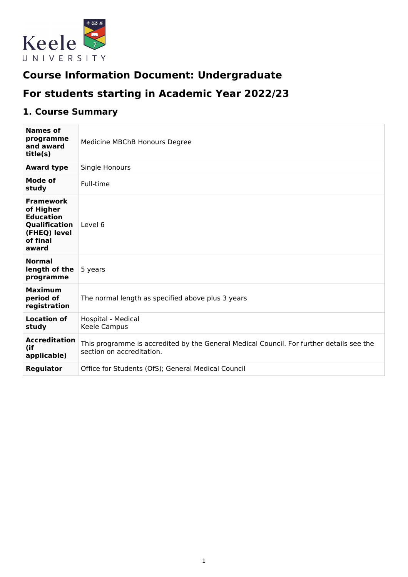

# **Course Information Document: Undergraduate**

# **For students starting in Academic Year 2022/23**

# **1. Course Summary**

| <b>Names of</b><br>programme                                                                            | Medicine MBChB Honours Degree                                                                                         |
|---------------------------------------------------------------------------------------------------------|-----------------------------------------------------------------------------------------------------------------------|
| and award<br>title(s)                                                                                   |                                                                                                                       |
| <b>Award type</b>                                                                                       | Single Honours                                                                                                        |
| <b>Mode of</b><br>study                                                                                 | Full-time                                                                                                             |
| <b>Framework</b><br>of Higher<br><b>Education</b><br>Qualification<br>(FHEQ) level<br>of final<br>award | Level 6                                                                                                               |
| <b>Normal</b><br>length of the<br>programme                                                             | 5 years                                                                                                               |
| <b>Maximum</b><br>period of<br>registration                                                             | The normal length as specified above plus 3 years                                                                     |
| <b>Location of</b><br>study                                                                             | Hospital - Medical<br>Keele Campus                                                                                    |
| <b>Accreditation</b><br>(if<br>applicable)                                                              | This programme is accredited by the General Medical Council. For further details see the<br>section on accreditation. |
| <b>Regulator</b>                                                                                        | Office for Students (OfS); General Medical Council                                                                    |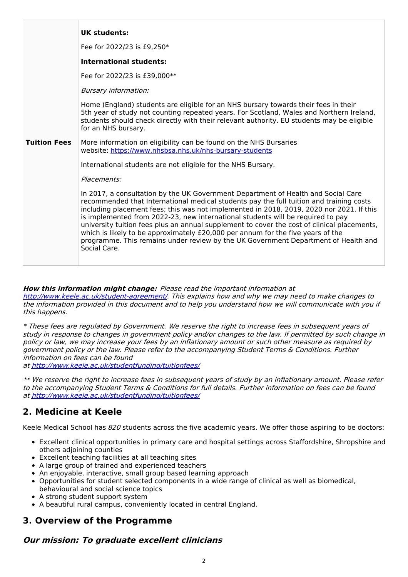| <b>UK students:</b><br>Fee for 2022/23 is £9,250*<br><b>International students:</b><br>Fee for 2022/23 is £39,000**<br><b>Bursary information:</b><br>Home (England) students are eligible for an NHS bursary towards their fees in their<br>5th year of study not counting repeated years. For Scotland, Wales and Northern Ireland,<br>students should check directly with their relevant authority. EU students may be eligible<br>for an NHS bursary.<br><b>Tuition Fees</b><br>More information on eligibility can be found on the NHS Bursaries<br>website: https://www.nhsbsa.nhs.uk/nhs-bursary-students<br>International students are not eligible for the NHS Bursary.<br>Placements:<br>In 2017, a consultation by the UK Government Department of Health and Social Care<br>recommended that International medical students pay the full tuition and training costs<br>including placement fees; this was not implemented in 2018, 2019, 2020 nor 2021. If this<br>is implemented from 2022-23, new international students will be required to pay<br>university tuition fees plus an annual supplement to cover the cost of clinical placements,<br>which is likely to be approximately £20,000 per annum for the five years of the<br>programme. This remains under review by the UK Government Department of Health and<br>Social Care. |  |
|--------------------------------------------------------------------------------------------------------------------------------------------------------------------------------------------------------------------------------------------------------------------------------------------------------------------------------------------------------------------------------------------------------------------------------------------------------------------------------------------------------------------------------------------------------------------------------------------------------------------------------------------------------------------------------------------------------------------------------------------------------------------------------------------------------------------------------------------------------------------------------------------------------------------------------------------------------------------------------------------------------------------------------------------------------------------------------------------------------------------------------------------------------------------------------------------------------------------------------------------------------------------------------------------------------------------------------------------------------|--|
|                                                                                                                                                                                                                                                                                                                                                                                                                                                                                                                                                                                                                                                                                                                                                                                                                                                                                                                                                                                                                                                                                                                                                                                                                                                                                                                                                        |  |
|                                                                                                                                                                                                                                                                                                                                                                                                                                                                                                                                                                                                                                                                                                                                                                                                                                                                                                                                                                                                                                                                                                                                                                                                                                                                                                                                                        |  |
|                                                                                                                                                                                                                                                                                                                                                                                                                                                                                                                                                                                                                                                                                                                                                                                                                                                                                                                                                                                                                                                                                                                                                                                                                                                                                                                                                        |  |
|                                                                                                                                                                                                                                                                                                                                                                                                                                                                                                                                                                                                                                                                                                                                                                                                                                                                                                                                                                                                                                                                                                                                                                                                                                                                                                                                                        |  |
|                                                                                                                                                                                                                                                                                                                                                                                                                                                                                                                                                                                                                                                                                                                                                                                                                                                                                                                                                                                                                                                                                                                                                                                                                                                                                                                                                        |  |
|                                                                                                                                                                                                                                                                                                                                                                                                                                                                                                                                                                                                                                                                                                                                                                                                                                                                                                                                                                                                                                                                                                                                                                                                                                                                                                                                                        |  |
|                                                                                                                                                                                                                                                                                                                                                                                                                                                                                                                                                                                                                                                                                                                                                                                                                                                                                                                                                                                                                                                                                                                                                                                                                                                                                                                                                        |  |
|                                                                                                                                                                                                                                                                                                                                                                                                                                                                                                                                                                                                                                                                                                                                                                                                                                                                                                                                                                                                                                                                                                                                                                                                                                                                                                                                                        |  |
|                                                                                                                                                                                                                                                                                                                                                                                                                                                                                                                                                                                                                                                                                                                                                                                                                                                                                                                                                                                                                                                                                                                                                                                                                                                                                                                                                        |  |
|                                                                                                                                                                                                                                                                                                                                                                                                                                                                                                                                                                                                                                                                                                                                                                                                                                                                                                                                                                                                                                                                                                                                                                                                                                                                                                                                                        |  |

#### **How this information might change:** Please read the important information at

<http://www.keele.ac.uk/student-agreement/>. This explains how and why we may need to make changes to the information provided in this document and to help you understand how we will communicate with you if this happens.

\* These fees are regulated by Government. We reserve the right to increase fees in subsequent years of study in response to changes in government policy and/or changes to the law. If permitted by such change in policy or law, we may increase your fees by an inflationary amount or such other measure as required by government policy or the law. Please refer to the accompanying Student Terms & Conditions. Further information on fees can be found

at <http://www.keele.ac.uk/studentfunding/tuitionfees/>

\*\* We reserve the right to increase fees in subsequent years of study by an inflationary amount. Please refer to the accompanying Student Terms & Conditions for full details. Further information on fees can be found at <http://www.keele.ac.uk/studentfunding/tuitionfees/>

## **2. Medicine at Keele**

Keele Medical School has 820 students across the five academic years. We offer those aspiring to be doctors:

- Excellent clinical opportunities in primary care and hospital settings across Staffordshire, Shropshire and others adjoining counties
- Excellent teaching facilities at all teaching sites
- A large group of trained and experienced teachers
- An enjoyable, interactive, small group based learning approach
- Opportunities for student selected components in a wide range of clinical as well as biomedical, behavioural and social science topics
- A strong student support system
- A beautiful rural campus, conveniently located in central England.

## **3. Overview of the Programme**

## **Our mission: To graduate excellent clinicians**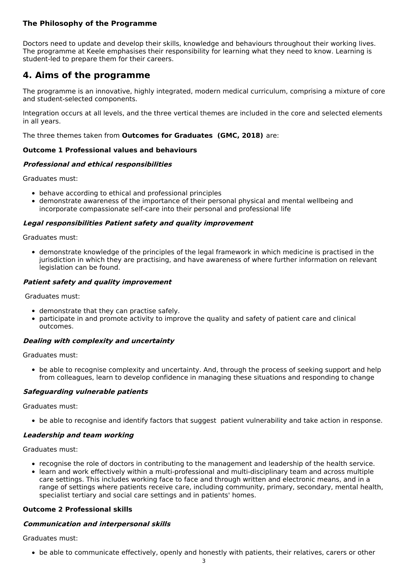### **The Philosophy of the Programme**

Doctors need to update and develop their skills, knowledge and behaviours throughout their working lives. The programme at Keele emphasises their responsibility for learning what they need to know. Learning is student-led to prepare them for their careers.

## **4. Aims of the programme**

The programme is an innovative, highly integrated, modern medical curriculum, comprising a mixture of core and student-selected components.

Integration occurs at all levels, and the three vertical themes are included in the core and selected elements in all years.

The three themes taken from **Outcomes for Graduates (GMC, 2018)** are:

#### **Outcome 1 Professional values and behaviours**

#### **Professional and ethical responsibilities**

Graduates must:

- behave according to ethical and professional principles
- demonstrate awareness of the importance of their personal physical and mental wellbeing and incorporate compassionate self-care into their personal and professional life

#### **Legal responsibilities Patient safety and quality improvement**

Graduates must:

demonstrate knowledge of the principles of the legal framework in which medicine is practised in the jurisdiction in which they are practising, and have awareness of where further information on relevant legislation can be found.

#### **Patient safety and quality improvement**

Graduates must:

- demonstrate that they can practise safely.
- participate in and promote activity to improve the quality and safety of patient care and clinical  $\bullet$ outcomes.

#### **Dealing with complexity and uncertainty**

Graduates must:

• be able to recognise complexity and uncertainty. And, through the process of seeking support and help from colleagues, learn to develop confidence in managing these situations and responding to change

#### **Safeguarding vulnerable patients**

Graduates must:

• be able to recognise and identify factors that suggest patient vulnerability and take action in response.

#### **Leadership and team working**

Graduates must:

- recognise the role of doctors in contributing to the management and leadership of the health service.
- learn and work effectively within a multi-professional and multi-disciplinary team and across multiple care settings. This includes working face to face and through written and electronic means, and in a range of settings where patients receive care, including community, primary, secondary, mental health, specialist tertiary and social care settings and in patients' homes.

#### **Outcome 2 Professional skills**

#### **Communication and interpersonal skills**

Graduates must:

be able to communicate effectively, openly and honestly with patients, their relatives, carers or other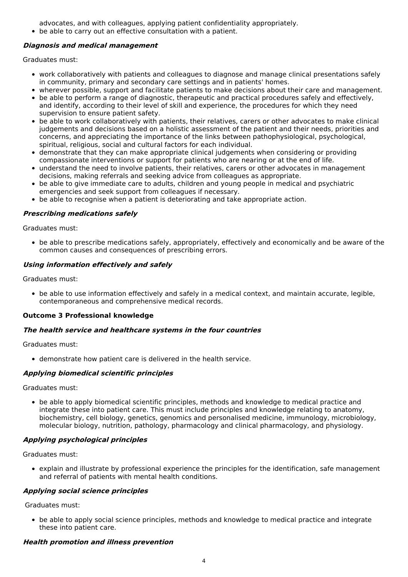advocates, and with colleagues, applying patient confidentiality appropriately.

be able to carry out an effective consultation with a patient.

#### **Diagnosis and medical management**

Graduates must:

- work collaboratively with patients and colleagues to diagnose and manage clinical presentations safely in community, primary and secondary care settings and in patients' homes.
- wherever possible, support and facilitate patients to make decisions about their care and management.
- be able to perform a range of diagnostic, therapeutic and practical procedures safely and effectively, and identify, according to their level of skill and experience, the procedures for which they need supervision to ensure patient safety.
- be able to work collaboratively with patients, their relatives, carers or other advocates to make clinical judgements and decisions based on a holistic assessment of the patient and their needs, priorities and concerns, and appreciating the importance of the links between pathophysiological, psychological, spiritual, religious, social and cultural factors for each individual.
- demonstrate that they can make appropriate clinical judgements when considering or providing compassionate interventions or support for patients who are nearing or at the end of life.
- understand the need to involve patients, their relatives, carers or other advocates in management decisions, making referrals and seeking advice from colleagues as appropriate.
- be able to give immediate care to adults, children and young people in medical and psychiatric emergencies and seek support from colleagues if necessary.
- be able to recognise when a patient is deteriorating and take appropriate action.

#### **Prescribing medications safely**

Graduates must:

be able to prescribe medications safely, appropriately, effectively and economically and be aware of the common causes and consequences of prescribing errors.

#### **Using information effectively and safely**

Graduates must:

be able to use information effectively and safely in a medical context, and maintain accurate, legible, contemporaneous and comprehensive medical records.

#### **Outcome 3 Professional knowledge**

#### **The health service and healthcare systems in the four countries**

Graduates must:

• demonstrate how patient care is delivered in the health service.

#### **Applying biomedical scientific principles**

Graduates must:

be able to apply biomedical scientific principles, methods and knowledge to medical practice and integrate these into patient care. This must include principles and knowledge relating to anatomy, biochemistry, cell biology, genetics, genomics and personalised medicine, immunology, microbiology, molecular biology, nutrition, pathology, pharmacology and clinical pharmacology, and physiology.

#### **Applying psychological principles**

Graduates must:

explain and illustrate by professional experience the principles for the identification, safe management and referral of patients with mental health conditions.

#### **Applying social science principles**

Graduates must:

be able to apply social science principles, methods and knowledge to medical practice and integrate these into patient care.

#### **Health promotion and illness prevention**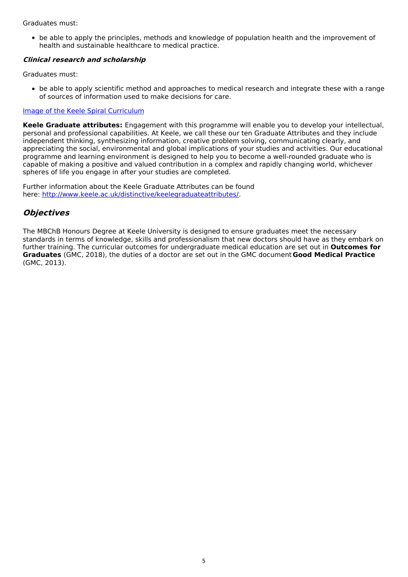#### Graduates must:

be able to apply the principles, methods and knowledge of population health and the improvement of health and sustainable healthcare to medical practice.

#### **Clinical research and scholarship**

Graduates must:

be able to apply scientific method and approaches to medical research and integrate these with a range of sources of information used to make decisions for care.

#### Image of the Keele Spiral [Curriculum](https://keeleacuk.sharepoint.com/:i:/s/SAS-QualityAssuranceSharedFiles/EZCHjd0T4EVIk8-il6ZvzbIBWnoqCTtz3oa3NXDobHKevw?e=DKl9Gx)

**Keele Graduate attributes:** Engagement with this programme will enable you to develop your intellectual, personal and professional capabilities. At Keele, we call these our ten Graduate Attributes and they include independent thinking, synthesizing information, creative problem solving, communicating clearly, and appreciating the social, environmental and global implications of your studies and activities. Our educational programme and learning environment is designed to help you to become a well-rounded graduate who is capable of making a positive and valued contribution in a complex and rapidly changing world, whichever spheres of life you engage in after your studies are completed.

Further information about the Keele Graduate Attributes can be found here: <http://www.keele.ac.uk/distinctive/keelegraduateattributes/>.

## **Objectives**

The MBChB Honours Degree at Keele University is designed to ensure graduates meet the necessary standards in terms of knowledge, skills and professionalism that new doctors should have as they embark on further training. The curricular outcomes for undergraduate medical education are set out in **Outcomes for Graduates** (GMC, 2018), the duties of a doctor are set out in the GMC document **Good Medical Practice** (GMC, 2013).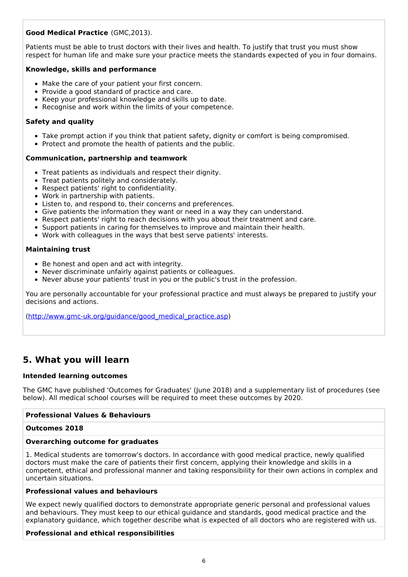### **Good Medical Practice** (GMC,2013).

Patients must be able to trust doctors with their lives and health. To justify that trust you must show respect for human life and make sure your practice meets the standards expected of you in four domains.

#### **Knowledge, skills and performance**

- Make the care of your patient your first concern.
- Provide a good standard of practice and care.
- Keep your professional knowledge and skills up to date.
- Recognise and work within the limits of your competence.

#### **Safety and quality**

- Take prompt action if you think that patient safety, dignity or comfort is being compromised.
- Protect and promote the health of patients and the public.

#### **Communication, partnership and teamwork**

- Treat patients as individuals and respect their dignity.
- Treat patients politely and considerately.  $\bullet$
- Respect patients' right to confidentiality.
- Work in partnership with patients.
- Listen to, and respond to, their concerns and preferences.
- Give patients the information they want or need in a way they can understand.
- Respect patients' right to reach decisions with you about their treatment and care.
- Support patients in caring for themselves to improve and maintain their health.
- Work with colleagues in the ways that best serve patients' interests.

#### **Maintaining trust**

- Be honest and open and act with integrity.
- Never discriminate unfairly against patients or colleagues.
- Never abuse your patients' trust in you or the public's trust in the profession.

You are personally accountable for your professional practice and must always be prepared to justify your decisions and actions.

[\(http://www.gmc-uk.org/guidance/good\\_medical\\_practice.asp](http://www.gmc-uk.org/guidance/good_medical_practice.asp))

## **5. What you will learn**

### **Intended learning outcomes**

The GMC have published 'Outcomes for Graduates' (June 2018) and a supplementary list of procedures (see below). All medical school courses will be required to meet these outcomes by 2020.

#### **Professional Values & Behaviours**

#### **Outcomes 2018**

#### **Overarching outcome for graduates**

1. Medical students are tomorrow's doctors. In accordance with good medical practice, newly qualified doctors must make the care of patients their first concern, applying their knowledge and skills in a competent, ethical and professional manner and taking responsibility for their own actions in complex and uncertain situations.

#### **Professional values and behaviours**

We expect newly qualified doctors to demonstrate appropriate generic personal and professional values and behaviours. They must keep to our ethical guidance and standards, good medical practice and the explanatory guidance, which together describe what is expected of all doctors who are registered with us.

#### **Professional and ethical responsibilities**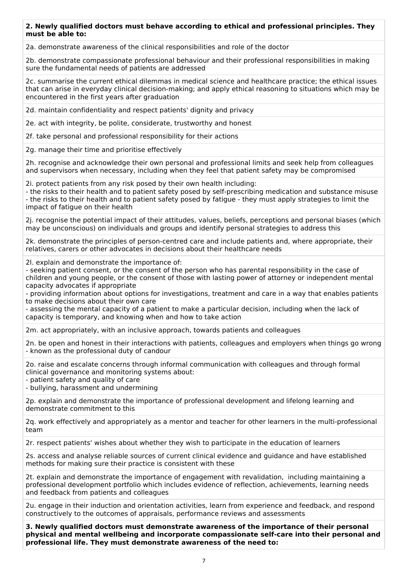#### **2. Newly qualified doctors must behave according to ethical and professional principles. They must be able to:**

2a. demonstrate awareness of the clinical responsibilities and role of the doctor

2b. demonstrate compassionate professional behaviour and their professional responsibilities in making sure the fundamental needs of patients are addressed

2c. summarise the current ethical dilemmas in medical science and healthcare practice; the ethical issues that can arise in everyday clinical decision-making; and apply ethical reasoning to situations which may be encountered in the first years after graduation

2d. maintain confidentiality and respect patients' dignity and privacy

2e. act with integrity, be polite, considerate, trustworthy and honest

2f. take personal and professional responsibility for their actions

2g. manage their time and prioritise effectively

2h. recognise and acknowledge their own personal and professional limits and seek help from colleagues and supervisors when necessary, including when they feel that patient safety may be compromised

2i. protect patients from any risk posed by their own health including:

- the risks to their health and to patient safety posed by self-prescribing medication and substance misuse - the risks to their health and to patient safety posed by fatigue - they must apply strategies to limit the impact of fatigue on their health

2j. recognise the potential impact of their attitudes, values, beliefs, perceptions and personal biases (which may be unconscious) on individuals and groups and identify personal strategies to address this

2k. demonstrate the principles of person-centred care and include patients and, where appropriate, their relatives, carers or other advocates in decisions about their healthcare needs

2l. explain and demonstrate the importance of:

- seeking patient consent, or the consent of the person who has parental responsibility in the case of children and young people, or the consent of those with lasting power of attorney or independent mental capacity advocates if appropriate

- providing information about options for investigations, treatment and care in a way that enables patients to make decisions about their own care

- assessing the mental capacity of a patient to make a particular decision, including when the lack of capacity is temporary, and knowing when and how to take action

2m. act appropriately, with an inclusive approach, towards patients and colleagues

2n. be open and honest in their interactions with patients, colleagues and employers when things go wrong - known as the professional duty of candour

2o. raise and escalate concerns through informal communication with colleagues and through formal clinical governance and monitoring systems about:

- patient safety and quality of care

- bullying, harassment and undermining

2p. explain and demonstrate the importance of professional development and lifelong learning and demonstrate commitment to this

2q. work effectively and appropriately as a mentor and teacher for other learners in the multi-professional team

2r. respect patients' wishes about whether they wish to participate in the education of learners

2s. access and analyse reliable sources of current clinical evidence and guidance and have established methods for making sure their practice is consistent with these

2t. explain and demonstrate the importance of engagement with revalidation, including maintaining a professional development portfolio which includes evidence of reflection, achievements, learning needs and feedback from patients and colleagues

2u. engage in their induction and orientation activities, learn from experience and feedback, and respond constructively to the outcomes of appraisals, performance reviews and assessments

**3. Newly qualified doctors must demonstrate awareness of the importance of their personal physical and mental wellbeing and incorporate compassionate self-care into their personal and professional life. They must demonstrate awareness of the need to:**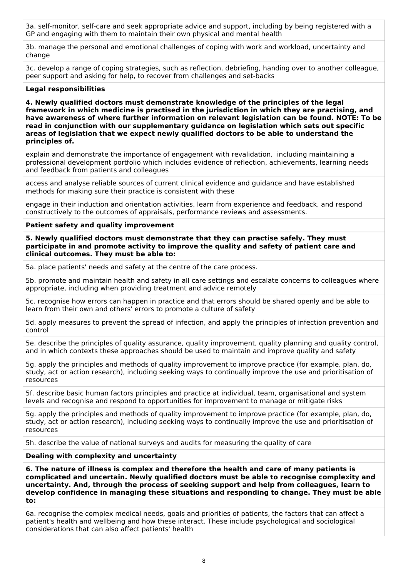3a. self-monitor, self-care and seek appropriate advice and support, including by being registered with a GP and engaging with them to maintain their own physical and mental health

3b. manage the personal and emotional challenges of coping with work and workload, uncertainty and change

3c. develop a range of coping strategies, such as reflection, debriefing, handing over to another colleague, peer support and asking for help, to recover from challenges and set-backs

#### **Legal responsibilities**

**4. Newly qualified doctors must demonstrate knowledge of the principles of the legal framework in which medicine is practised in the jurisdiction in which they are practising, and have awareness of where further information on relevant legislation can be found. NOTE: To be read in conjunction with our supplementary guidance on legislation which sets out specific areas of legislation that we expect newly qualified doctors to be able to understand the principles of.**

explain and demonstrate the importance of engagement with revalidation, including maintaining a professional development portfolio which includes evidence of reflection, achievements, learning needs and feedback from patients and colleagues

access and analyse reliable sources of current clinical evidence and guidance and have established methods for making sure their practice is consistent with these

engage in their induction and orientation activities, learn from experience and feedback, and respond constructively to the outcomes of appraisals, performance reviews and assessments.

#### **Patient safety and quality improvement**

**5. Newly qualified doctors must demonstrate that they can practise safely. They must participate in and promote activity to improve the quality and safety of patient care and clinical outcomes. They must be able to:**

5a. place patients' needs and safety at the centre of the care process.

5b. promote and maintain health and safety in all care settings and escalate concerns to colleagues where appropriate, including when providing treatment and advice remotely

5c. recognise how errors can happen in practice and that errors should be shared openly and be able to learn from their own and others' errors to promote a culture of safety

5d. apply measures to prevent the spread of infection, and apply the principles of infection prevention and control

5e. describe the principles of quality assurance, quality improvement, quality planning and quality control, and in which contexts these approaches should be used to maintain and improve quality and safety

5g. apply the principles and methods of quality improvement to improve practice (for example, plan, do, study, act or action research), including seeking ways to continually improve the use and prioritisation of resources

5f. describe basic human factors principles and practice at individual, team, organisational and system levels and recognise and respond to opportunities for improvement to manage or mitigate risks

5g. apply the principles and methods of quality improvement to improve practice (for example, plan, do, study, act or action research), including seeking ways to continually improve the use and prioritisation of resources

5h. describe the value of national surveys and audits for measuring the quality of care

#### **Dealing with complexity and uncertainty**

**6. The nature of illness is complex and therefore the health and care of many patients is complicated and uncertain. Newly qualified doctors must be able to recognise complexity and uncertainty. And, through the process of seeking support and help from colleagues, learn to develop confidence in managing these situations and responding to change. They must be able to:**

6a. recognise the complex medical needs, goals and priorities of patients, the factors that can affect a patient's health and wellbeing and how these interact. These include psychological and sociological considerations that can also affect patients' health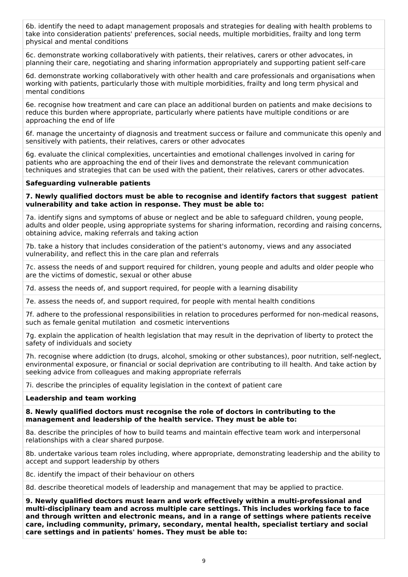6b. identify the need to adapt management proposals and strategies for dealing with health problems to take into consideration patients' preferences, social needs, multiple morbidities, frailty and long term physical and mental conditions

6c. demonstrate working collaboratively with patients, their relatives, carers or other advocates, in planning their care, negotiating and sharing information appropriately and supporting patient self-care

6d. demonstrate working collaboratively with other health and care professionals and organisations when working with patients, particularly those with multiple morbidities, frailty and long term physical and mental conditions

6e. recognise how treatment and care can place an additional burden on patients and make decisions to reduce this burden where appropriate, particularly where patients have multiple conditions or are approaching the end of life

6f. manage the uncertainty of diagnosis and treatment success or failure and communicate this openly and sensitively with patients, their relatives, carers or other advocates

6g. evaluate the clinical complexities, uncertainties and emotional challenges involved in caring for patients who are approaching the end of their lives and demonstrate the relevant communication techniques and strategies that can be used with the patient, their relatives, carers or other advocates.

#### **Safeguarding vulnerable patients**

**7. Newly qualified doctors must be able to recognise and identify factors that suggest patient vulnerability and take action in response. They must be able to:**

7a. identify signs and symptoms of abuse or neglect and be able to safeguard children, young people, adults and older people, using appropriate systems for sharing information, recording and raising concerns, obtaining advice, making referrals and taking action

7b. take a history that includes consideration of the patient's autonomy, views and any associated vulnerability, and reflect this in the care plan and referrals

7c. assess the needs of and support required for children, young people and adults and older people who are the victims of domestic, sexual or other abuse

7d. assess the needs of, and support required, for people with a learning disability

7e. assess the needs of, and support required, for people with mental health conditions

7f. adhere to the professional responsibilities in relation to procedures performed for non-medical reasons, such as female genital mutilation and cosmetic interventions

7g. explain the application of health legislation that may result in the deprivation of liberty to protect the safety of individuals and society

7h. recognise where addiction (to drugs, alcohol, smoking or other substances), poor nutrition, self-neglect, environmental exposure, or financial or social deprivation are contributing to ill health. And take action by seeking advice from colleagues and making appropriate referrals

7i. describe the principles of equality legislation in the context of patient care

#### **Leadership and team working**

**8. Newly qualified doctors must recognise the role of doctors in contributing to the management and leadership of the health service. They must be able to:**

8a. describe the principles of how to build teams and maintain effective team work and interpersonal relationships with a clear shared purpose.

8b. undertake various team roles including, where appropriate, demonstrating leadership and the ability to accept and support leadership by others

8c. identify the impact of their behaviour on others

8d. describe theoretical models of leadership and management that may be applied to practice.

**9. Newly qualified doctors must learn and work effectively within a multi-professional and multi-disciplinary team and across multiple care settings. This includes working face to face and through written and electronic means, and in a range of settings where patients receive care, including community, primary, secondary, mental health, specialist tertiary and social care settings and in patients' homes. They must be able to:**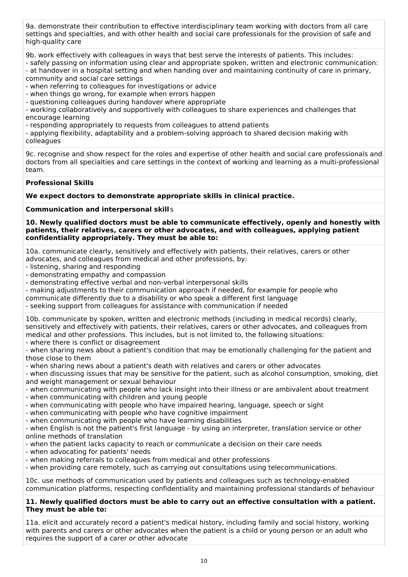9a. demonstrate their contribution to effective interdisciplinary team working with doctors from all care settings and specialties, and with other health and social care professionals for the provision of safe and high-quality care

9b. work effectively with colleagues in ways that best serve the interests of patients. This includes:

- safely passing on information using clear and appropriate spoken, written and electronic communication: - at handover in a hospital setting and when handing over and maintaining continuity of care in primary, community and social care settings

- when referring to colleagues for investigations or advice

- when things go wrong, for example when errors happen

- questioning colleagues during handover where appropriate

- working collaboratively and supportively with colleagues to share experiences and challenges that encourage learning

- responding appropriately to requests from colleagues to attend patients

- applying flexibility, adaptability and a problem-solving approach to shared decision making with colleagues

9c. recognise and show respect for the roles and expertise of other health and social care professionals and doctors from all specialties and care settings in the context of working and learning as a multi-professional team.

#### **Professional Skills**

**We expect doctors to demonstrate appropriate skills in clinical practice.**

**Communication and interpersonal skill** s

**10. Newly qualified doctors must be able to communicate effectively, openly and honestly with patients, their relatives, carers or other advocates, and with colleagues, applying patient confidentiality appropriately. They must be able to:**

10a. communicate clearly, sensitively and effectively with patients, their relatives, carers or other advocates, and colleagues from medical and other professions, by:

- listening, sharing and responding
- demonstrating empathy and compassion
- demonstrating effective verbal and non-verbal interpersonal skills
- making adjustments to their communication approach if needed, for example for people who
- communicate differently due to a disability or who speak a different first language
- seeking support from colleagues for assistance with communication if needed

10b. communicate by spoken, written and electronic methods (including in medical records) clearly, sensitively and effectively with patients, their relatives, carers or other advocates, and colleagues from medical and other professions. This includes, but is not limited to, the following situations:

- where there is conflict or disagreement

- when sharing news about a patient's condition that may be emotionally challenging for the patient and those close to them

- when sharing news about a patient's death with relatives and carers or other advocates

- when discussing issues that may be sensitive for the patient, such as alcohol consumption, smoking, diet and weight management or sexual behaviour

- when communicating with people who lack insight into their illness or are ambivalent about treatment
- when communicating with children and young people
- when communicating with people who have impaired hearing, language, speech or sight
- when communicating with people who have cognitive impairment
- when communicating with people who have learning disabilities

- when English is not the patient's first language - by using an interpreter, translation service or other online methods of translation

- when the patient lacks capacity to reach or communicate a decision on their care needs
- when advocating for patients' needs
- when making referrals to colleagues from medical and other professions
- when providing care remotely, such as carrying out consultations using telecommunications.

10c. use methods of communication used by patients and colleagues such as technology-enabled communication platforms, respecting confidentiality and maintaining professional standards of behaviour

#### **11. Newly qualified doctors must be able to carry out an effective consultation with a patient. They must be able to:**

11a. elicit and accurately record a patient's medical history, including family and social history, working with parents and carers or other advocates when the patient is a child or young person or an adult who requires the support of a carer or other advocate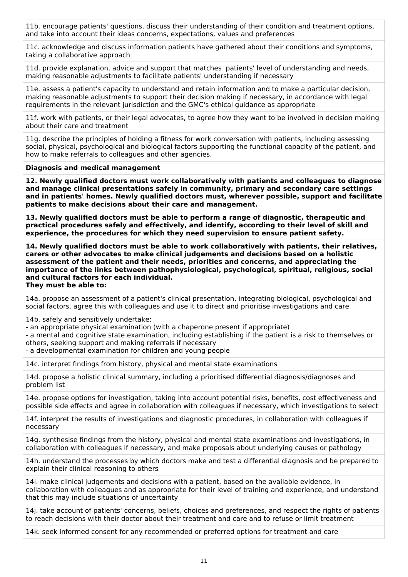11b. encourage patients' questions, discuss their understanding of their condition and treatment options, and take into account their ideas concerns, expectations, values and preferences

11c. acknowledge and discuss information patients have gathered about their conditions and symptoms, taking a collaborative approach

11d. provide explanation, advice and support that matches patients' level of understanding and needs, making reasonable adjustments to facilitate patients' understanding if necessary

11e. assess a patient's capacity to understand and retain information and to make a particular decision, making reasonable adjustments to support their decision making if necessary, in accordance with legal requirements in the relevant jurisdiction and the GMC's ethical guidance as appropriate

11f. work with patients, or their legal advocates, to agree how they want to be involved in decision making about their care and treatment

11g. describe the principles of holding a fitness for work conversation with patients, including assessing social, physical, psychological and biological factors supporting the functional capacity of the patient, and how to make referrals to colleagues and other agencies.

#### **Diagnosis and medical management**

**12. Newly qualified doctors must work collaboratively with patients and colleagues to diagnose and manage clinical presentations safely in community, primary and secondary care settings and in patients' homes. Newly qualified doctors must, wherever possible, support and facilitate patients to make decisions about their care and management.**

**13. Newly qualified doctors must be able to perform a range of diagnostic, therapeutic and practical procedures safely and effectively, and identify, according to their level of skill and experience, the procedures for which they need supervision to ensure patient safety.**

**14. Newly qualified doctors must be able to work collaboratively with patients, their relatives, carers or other advocates to make clinical judgements and decisions based on a holistic assessment of the patient and their needs, priorities and concerns, and appreciating the importance of the links between pathophysiological, psychological, spiritual, religious, social and cultural factors for each individual. They must be able to:**

14a. propose an assessment of a patient's clinical presentation, integrating biological, psychological and social factors, agree this with colleagues and use it to direct and prioritise investigations and care

14b. safely and sensitively undertake:

- an appropriate physical examination (with a chaperone present if appropriate)

- a mental and cognitive state examination, including establishing if the patient is a risk to themselves or others, seeking support and making referrals if necessary

- a developmental examination for children and young people

14c. interpret findings from history, physical and mental state examinations

14d. propose a holistic clinical summary, including a prioritised differential diagnosis/diagnoses and problem list

14e. propose options for investigation, taking into account potential risks, benefits, cost effectiveness and possible side effects and agree in collaboration with colleagues if necessary, which investigations to select

14f. interpret the results of investigations and diagnostic procedures, in collaboration with colleagues if necessary

14g. synthesise findings from the history, physical and mental state examinations and investigations, in collaboration with colleagues if necessary, and make proposals about underlying causes or pathology

14h. understand the processes by which doctors make and test a differential diagnosis and be prepared to explain their clinical reasoning to others

14i. make clinical judgements and decisions with a patient, based on the available evidence, in collaboration with colleagues and as appropriate for their level of training and experience, and understand that this may include situations of uncertainty

14j. take account of patients' concerns, beliefs, choices and preferences, and respect the rights of patients to reach decisions with their doctor about their treatment and care and to refuse or limit treatment

14k. seek informed consent for any recommended or preferred options for treatment and care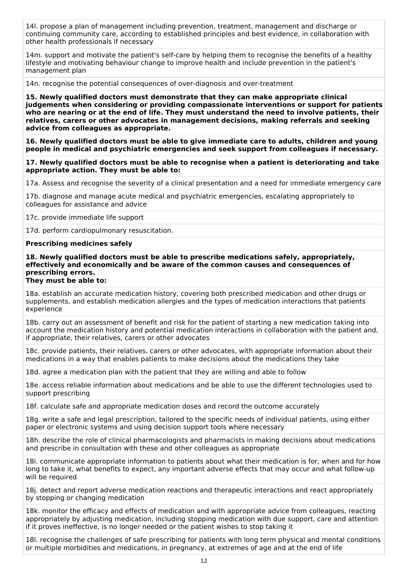14l. propose a plan of management including prevention, treatment, management and discharge or continuing community care, according to established principles and best evidence, in collaboration with other health professionals if necessary

14m. support and motivate the patient's self-care by helping them to recognise the benefits of a healthy lifestyle and motivating behaviour change to improve health and include prevention in the patient's management plan

14n. recognise the potential consequences of over-diagnosis and over-treatment

**15. Newly qualified doctors must demonstrate that they can make appropriate clinical judgements when considering or providing compassionate interventions or support for patients who are nearing or at the end of life. They must understand the need to involve patients, their relatives, carers or other advocates in management decisions, making referrals and seeking advice from colleagues as appropriate.**

**16. Newly qualified doctors must be able to give immediate care to adults, children and young people in medical and psychiatric emergencies and seek support from colleagues if necessary.**

**17. Newly qualified doctors must be able to recognise when a patient is deteriorating and take appropriate action. They must be able to:**

17a. Assess and recognise the severity of a clinical presentation and a need for immediate emergency care

17b. diagnose and manage acute medical and psychiatric emergencies, escalating appropriately to colleagues for assistance and advice

17c. provide immediate life support

17d. perform cardiopulmonary resuscitation.

#### **Prescribing medicines safely**

**18. Newly qualified doctors must be able to prescribe medications safely, appropriately, effectively and economically and be aware of the common causes and consequences of prescribing errors. They must be able to:**

18a. establish an accurate medication history, covering both prescribed medication and other drugs or supplements, and establish medication allergies and the types of medication interactions that patients experience

18b. carry out an assessment of benefit and risk for the patient of starting a new medication taking into account the medication history and potential medication interactions in collaboration with the patient and, if appropriate, their relatives, carers or other advocates

18c. provide patients, their relatives, carers or other advocates, with appropriate information about their medications in a way that enables patients to make decisions about the medications they take

18d. agree a medication plan with the patient that they are willing and able to follow

18e. access reliable information about medications and be able to use the different technologies used to support prescribing

18f. calculate safe and appropriate medication doses and record the outcome accurately

18g. write a safe and legal prescription, tailored to the specific needs of individual patients, using either paper or electronic systems and using decision support tools where necessary

18h. describe the role of clinical pharmacologists and pharmacists in making decisions about medications and prescribe in consultation with these and other colleagues as appropriate

18i. communicate appropriate information to patients about what their medication is for, when and for how long to take it, what benefits to expect, any important adverse effects that may occur and what follow-up will be required

18j. detect and report adverse medication reactions and therapeutic interactions and react appropriately by stopping or changing medication

18k. monitor the efficacy and effects of medication and with appropriate advice from colleagues, reacting appropriately by adjusting medication, including stopping medication with due support, care and attention if it proves ineffective, is no longer needed or the patient wishes to stop taking it

18l. recognise the challenges of safe prescribing for patients with long term physical and mental conditions or multiple morbidities and medications, in pregnancy, at extremes of age and at the end of life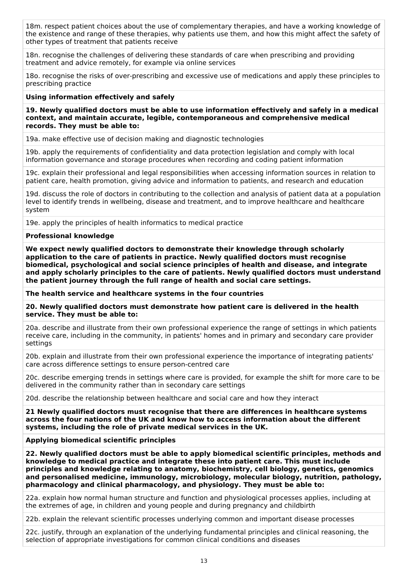18m. respect patient choices about the use of complementary therapies, and have a working knowledge of the existence and range of these therapies, why patients use them, and how this might affect the safety of other types of treatment that patients receive

18n. recognise the challenges of delivering these standards of care when prescribing and providing treatment and advice remotely, for example via online services

18o. recognise the risks of over-prescribing and excessive use of medications and apply these principles to prescribing practice

#### **Using information effectively and safely**

**19. Newly qualified doctors must be able to use information effectively and safely in a medical context, and maintain accurate, legible, contemporaneous and comprehensive medical records. They must be able to:**

19a. make effective use of decision making and diagnostic technologies

19b. apply the requirements of confidentiality and data protection legislation and comply with local information governance and storage procedures when recording and coding patient information

19c. explain their professional and legal responsibilities when accessing information sources in relation to patient care, health promotion, giving advice and information to patients, and research and education

19d. discuss the role of doctors in contributing to the collection and analysis of patient data at a population level to identify trends in wellbeing, disease and treatment, and to improve healthcare and healthcare system

19e. apply the principles of health informatics to medical practice

#### **Professional knowledge**

**We expect newly qualified doctors to demonstrate their knowledge through scholarly application to the care of patients in practice. Newly qualified doctors must recognise biomedical, psychological and social science principles of health and disease, and integrate and apply scholarly principles to the care of patients. Newly qualified doctors must understand the patient journey through the full range of health and social care settings.**

**The health service and healthcare systems in the four countries**

**20. Newly qualified doctors must demonstrate how patient care is delivered in the health service. They must be able to:**

20a. describe and illustrate from their own professional experience the range of settings in which patients receive care, including in the community, in patients' homes and in primary and secondary care provider settings

20b. explain and illustrate from their own professional experience the importance of integrating patients' care across difference settings to ensure person-centred care

20c. describe emerging trends in settings where care is provided, for example the shift for more care to be delivered in the community rather than in secondary care settings

20d. describe the relationship between healthcare and social care and how they interact

**21 Newly qualified doctors must recognise that there are differences in healthcare systems across the four nations of the UK and know how to access information about the different systems, including the role of private medical services in the UK.**

#### **Applying biomedical scientific principles**

**22. Newly qualified doctors must be able to apply biomedical scientific principles, methods and knowledge to medical practice and integrate these into patient care. This must include principles and knowledge relating to anatomy, biochemistry, cell biology, genetics, genomics and personalised medicine, immunology, microbiology, molecular biology, nutrition, pathology, pharmacology and clinical pharmacology, and physiology. They must be able to:**

22a. explain how normal human structure and function and physiological processes applies, including at the extremes of age, in children and young people and during pregnancy and childbirth

22b. explain the relevant scientific processes underlying common and important disease processes

22c. justify, through an explanation of the underlying fundamental principles and clinical reasoning, the selection of appropriate investigations for common clinical conditions and diseases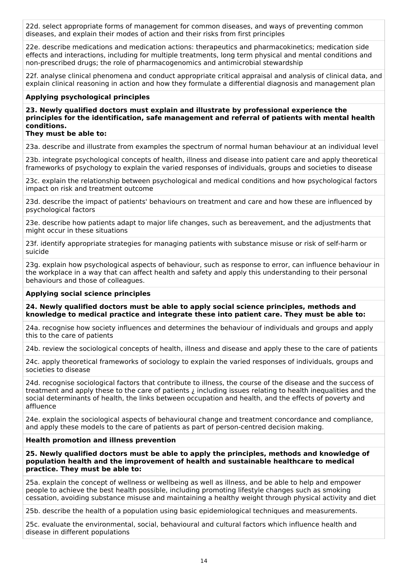22d. select appropriate forms of management for common diseases, and ways of preventing common diseases, and explain their modes of action and their risks from first principles

22e. describe medications and medication actions: therapeutics and pharmacokinetics; medication side effects and interactions, including for multiple treatments, long term physical and mental conditions and non-prescribed drugs; the role of pharmacogenomics and antimicrobial stewardship

22f. analyse clinical phenomena and conduct appropriate critical appraisal and analysis of clinical data, and explain clinical reasoning in action and how they formulate a differential diagnosis and management plan

#### **Applying psychological principles**

**23. Newly qualified doctors must explain and illustrate by professional experience the principles for the identification, safe management and referral of patients with mental health conditions.**

#### **They must be able to:**

23a. describe and illustrate from examples the spectrum of normal human behaviour at an individual level

23b. integrate psychological concepts of health, illness and disease into patient care and apply theoretical frameworks of psychology to explain the varied responses of individuals, groups and societies to disease

23c. explain the relationship between psychological and medical conditions and how psychological factors impact on risk and treatment outcome

23d. describe the impact of patients' behaviours on treatment and care and how these are influenced by psychological factors

23e. describe how patients adapt to major life changes, such as bereavement, and the adjustments that might occur in these situations

23f. identify appropriate strategies for managing patients with substance misuse or risk of self-harm or suicide

23g. explain how psychological aspects of behaviour, such as response to error, can influence behaviour in the workplace in a way that can affect health and safety and apply this understanding to their personal behaviours and those of colleagues.

#### **Applying social science principles**

**24. Newly qualified doctors must be able to apply social science principles, methods and knowledge to medical practice and integrate these into patient care. They must be able to:**

24a. recognise how society influences and determines the behaviour of individuals and groups and apply this to the care of patients

24b. review the sociological concepts of health, illness and disease and apply these to the care of patients

24c. apply theoretical frameworks of sociology to explain the varied responses of individuals, groups and societies to disease

24d. recognise sociological factors that contribute to illness, the course of the disease and the success of treatment and apply these to the care of patients ¿ including issues relating to health inequalities and the social determinants of health, the links between occupation and health, and the effects of poverty and affluence

24e. explain the sociological aspects of behavioural change and treatment concordance and compliance, and apply these models to the care of patients as part of person-centred decision making.

#### **Health promotion and illness prevention**

**25. Newly qualified doctors must be able to apply the principles, methods and knowledge of population health and the improvement of health and sustainable healthcare to medical practice. They must be able to:**

25a. explain the concept of wellness or wellbeing as well as illness, and be able to help and empower people to achieve the best health possible, including promoting lifestyle changes such as smoking cessation, avoiding substance misuse and maintaining a healthy weight through physical activity and diet

25b. describe the health of a population using basic epidemiological techniques and measurements.

25c. evaluate the environmental, social, behavioural and cultural factors which influence health and disease in different populations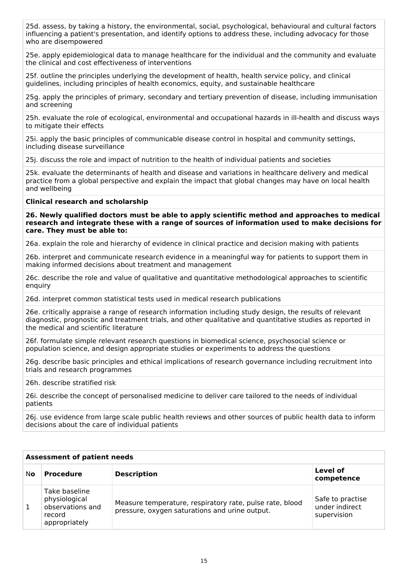25d. assess, by taking a history, the environmental, social, psychological, behavioural and cultural factors influencing a patient's presentation, and identify options to address these, including advocacy for those who are disempowered

25e. apply epidemiological data to manage healthcare for the individual and the community and evaluate the clinical and cost effectiveness of interventions

25f. outline the principles underlying the development of health, health service policy, and clinical guidelines, including principles of health economics, equity, and sustainable healthcare

25g. apply the principles of primary, secondary and tertiary prevention of disease, including immunisation and screening

25h. evaluate the role of ecological, environmental and occupational hazards in ill-health and discuss ways to mitigate their effects

25i. apply the basic principles of communicable disease control in hospital and community settings, including disease surveillance

25j. discuss the role and impact of nutrition to the health of individual patients and societies

25k. evaluate the determinants of health and disease and variations in healthcare delivery and medical practice from a global perspective and explain the impact that global changes may have on local health and wellbeing

#### **Clinical research and scholarship**

**26. Newly qualified doctors must be able to apply scientific method and approaches to medical research and integrate these with a range of sources of information used to make decisions for care. They must be able to:**

26a. explain the role and hierarchy of evidence in clinical practice and decision making with patients

26b. interpret and communicate research evidence in a meaningful way for patients to support them in making informed decisions about treatment and management

26c. describe the role and value of qualitative and quantitative methodological approaches to scientific enquiry

26d. interpret common statistical tests used in medical research publications

26e. critically appraise a range of research information including study design, the results of relevant diagnostic, prognostic and treatment trials, and other qualitative and quantitative studies as reported in the medical and scientific literature

26f. formulate simple relevant research questions in biomedical science, psychosocial science or population science, and design appropriate studies or experiments to address the questions

26g. describe basic principles and ethical implications of research governance including recruitment into trials and research programmes

26h. describe stratified risk

26i. describe the concept of personalised medicine to deliver care tailored to the needs of individual patients

26j. use evidence from large scale public health reviews and other sources of public health data to inform decisions about the care of individual patients

|    | <b>Assessment of patient needs</b>                                            |                                                                                                            |                                                   |  |  |  |  |
|----|-------------------------------------------------------------------------------|------------------------------------------------------------------------------------------------------------|---------------------------------------------------|--|--|--|--|
| No | <b>Procedure</b>                                                              | <b>Description</b>                                                                                         | Level of<br>competence                            |  |  |  |  |
|    | Take baseline<br>physiological<br>observations and<br>record<br>appropriately | Measure temperature, respiratory rate, pulse rate, blood<br>pressure, oxygen saturations and urine output. | Safe to practise<br>under indirect<br>supervision |  |  |  |  |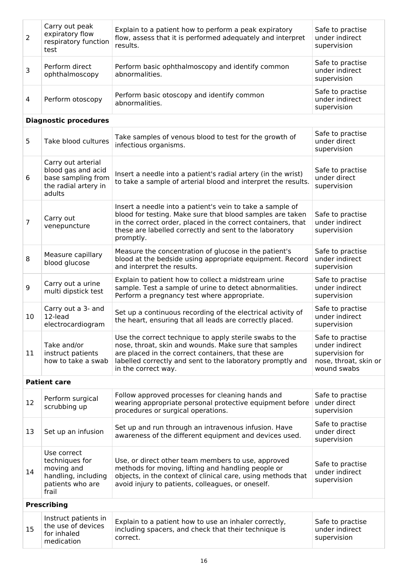| $\overline{2}$                                                                                        | Carry out peak<br>expiratory flow<br>respiratory function<br>test                                | Explain to a patient how to perform a peak expiratory<br>flow, assess that it is performed adequately and interpret<br>results.                                                                                                                                | Safe to practise<br>under indirect<br>supervision                                             |
|-------------------------------------------------------------------------------------------------------|--------------------------------------------------------------------------------------------------|----------------------------------------------------------------------------------------------------------------------------------------------------------------------------------------------------------------------------------------------------------------|-----------------------------------------------------------------------------------------------|
| 3                                                                                                     | Perform direct<br>ophthalmoscopy                                                                 | Perform basic ophthalmoscopy and identify common<br>abnormalities.                                                                                                                                                                                             | Safe to practise<br>under indirect<br>supervision                                             |
| 4                                                                                                     | Perform otoscopy                                                                                 | Perform basic otoscopy and identify common<br>abnormalities.                                                                                                                                                                                                   | Safe to practise<br>under indirect<br>supervision                                             |
|                                                                                                       | <b>Diagnostic procedures</b>                                                                     |                                                                                                                                                                                                                                                                |                                                                                               |
| 5                                                                                                     | Take blood cultures                                                                              | Take samples of venous blood to test for the growth of<br>infectious organisms.                                                                                                                                                                                | Safe to practise<br>under direct<br>supervision                                               |
| 6                                                                                                     | Carry out arterial<br>blood gas and acid<br>base sampling from<br>the radial artery in<br>adults | Insert a needle into a patient's radial artery (in the wrist)<br>to take a sample of arterial blood and interpret the results.                                                                                                                                 | Safe to practise<br>under direct<br>supervision                                               |
| 7                                                                                                     | Carry out<br>venepuncture                                                                        | Insert a needle into a patient's vein to take a sample of<br>blood for testing. Make sure that blood samples are taken<br>in the correct order, placed in the correct containers, that<br>these are labelled correctly and sent to the laboratory<br>promptly. | Safe to practise<br>under indirect<br>supervision                                             |
| 8                                                                                                     | Measure capillary<br>blood glucose                                                               | Measure the concentration of glucose in the patient's<br>blood at the bedside using appropriate equipment. Record<br>and interpret the results.                                                                                                                | Safe to practise<br>under indirect<br>supervision                                             |
| 9                                                                                                     | Carry out a urine<br>multi dipstick test                                                         | Explain to patient how to collect a midstream urine<br>sample. Test a sample of urine to detect abnormalities.<br>Perform a pregnancy test where appropriate.                                                                                                  | Safe to practise<br>under indirect<br>supervision                                             |
| 10                                                                                                    | Carry out a 3- and<br>12-lead<br>electrocardiogram                                               | Set up a continuous recording of the electrical activity of<br>the heart, ensuring that all leads are correctly placed.                                                                                                                                        | Safe to practise<br>under indirect<br>supervision                                             |
| 11                                                                                                    | Take and/or<br>instruct patients<br>how to take a swab                                           | Use the correct technique to apply sterile swabs to the<br>nose, throat, skin and wounds. Make sure that samples<br>are placed in the correct containers, that these are<br>labelled correctly and sent to the laboratory promptly and<br>in the correct way.  | Safe to practise<br>under indirect<br>supervision for<br>nose, throat, skin or<br>wound swabs |
|                                                                                                       | <b>Patient care</b>                                                                              |                                                                                                                                                                                                                                                                |                                                                                               |
| 12                                                                                                    | Perform surgical<br>scrubbing up                                                                 | Follow approved processes for cleaning hands and<br>wearing appropriate personal protective equipment before<br>procedures or surgical operations.                                                                                                             | Safe to practise<br>under direct<br>supervision                                               |
| 13                                                                                                    | Set up an infusion                                                                               | Set up and run through an intravenous infusion. Have<br>awareness of the different equipment and devices used.                                                                                                                                                 | Safe to practise<br>under direct<br>supervision                                               |
| Use correct<br>techniques for<br>moving and<br>14<br>handling, including<br>patients who are<br>frail |                                                                                                  | Use, or direct other team members to use, approved<br>methods for moving, lifting and handling people or<br>objects, in the context of clinical care, using methods that<br>avoid injury to patients, colleagues, or oneself.                                  | Safe to practise<br>under indirect<br>supervision                                             |
|                                                                                                       | <b>Prescribing</b>                                                                               |                                                                                                                                                                                                                                                                |                                                                                               |
| 15                                                                                                    | Instruct patients in<br>the use of devices<br>for inhaled<br>medication                          | Explain to a patient how to use an inhaler correctly,<br>including spacers, and check that their technique is<br>correct.                                                                                                                                      | Safe to practise<br>under indirect<br>supervision                                             |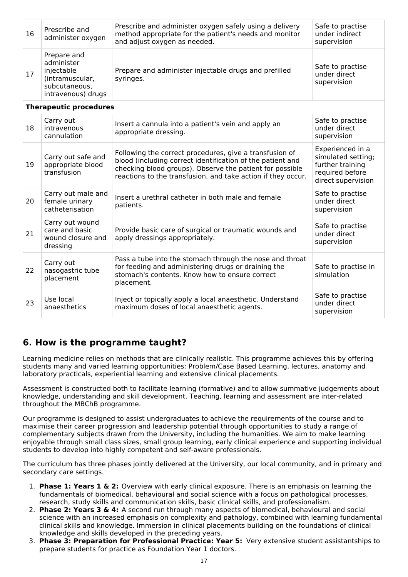| 16                                                                                                                   | Prescribe and<br>administer oxygen                                 | Prescribe and administer oxygen safely using a delivery<br>method appropriate for the patient's needs and monitor<br>and adjust oxygen as needed.                                                                                                 | Safe to practise<br>under indirect<br>supervision                                                   |
|----------------------------------------------------------------------------------------------------------------------|--------------------------------------------------------------------|---------------------------------------------------------------------------------------------------------------------------------------------------------------------------------------------------------------------------------------------------|-----------------------------------------------------------------------------------------------------|
| Prepare and<br>administer<br>injectable<br>17<br>(intramuscular,<br>syringes.<br>subcutaneous,<br>intravenous) drugs |                                                                    | Prepare and administer injectable drugs and prefilled                                                                                                                                                                                             | Safe to practise<br>under direct<br>supervision                                                     |
|                                                                                                                      | <b>Therapeutic procedures</b>                                      |                                                                                                                                                                                                                                                   |                                                                                                     |
| 18                                                                                                                   | Carry out<br>intravenous<br>cannulation                            | Insert a cannula into a patient's vein and apply an<br>appropriate dressing.                                                                                                                                                                      | Safe to practise<br>under direct<br>supervision                                                     |
| 19                                                                                                                   | Carry out safe and<br>appropriate blood<br>transfusion             | Following the correct procedures, give a transfusion of<br>blood (including correct identification of the patient and<br>checking blood groups). Observe the patient for possible<br>reactions to the transfusion, and take action if they occur. | Experienced in a<br>simulated setting;<br>further training<br>required before<br>direct supervision |
| 20                                                                                                                   | Carry out male and<br>female urinary<br>catheterisation            | Insert a urethral catheter in both male and female<br>patients.                                                                                                                                                                                   | Safe to practise<br>under direct<br>supervision                                                     |
| 21                                                                                                                   | Carry out wound<br>care and basic<br>wound closure and<br>dressing | Provide basic care of surgical or traumatic wounds and<br>apply dressings appropriately.                                                                                                                                                          | Safe to practise<br>under direct<br>supervision                                                     |
| 22                                                                                                                   | Carry out<br>nasogastric tube<br>placement                         | Pass a tube into the stomach through the nose and throat<br>for feeding and administering drugs or draining the<br>stomach's contents. Know how to ensure correct<br>placement.                                                                   | Safe to practise in<br>simulation                                                                   |
| 23                                                                                                                   | Use local<br>anaesthetics                                          | Inject or topically apply a local anaesthetic. Understand<br>maximum doses of local anaesthetic agents.                                                                                                                                           | Safe to practise<br>under direct<br>supervision                                                     |

## **6. How is the programme taught?**

Learning medicine relies on methods that are clinically realistic. This programme achieves this by offering students many and varied learning opportunities: Problem/Case Based Learning, lectures, anatomy and laboratory practicals, experiential learning and extensive clinical placements.

Assessment is constructed both to facilitate learning (formative) and to allow summative judgements about knowledge, understanding and skill development. Teaching, learning and assessment are inter-related throughout the MBChB programme.

Our programme is designed to assist undergraduates to achieve the requirements of the course and to maximise their career progression and leadership potential through opportunities to study a range of complementary subjects drawn from the University, including the humanities. We aim to make learning enjoyable through small class sizes, small group learning, early clinical experience and supporting individual students to develop into highly competent and self-aware professionals.

The curriculum has three phases jointly delivered at the University, our local community, and in primary and secondary care settings.

- 1. **Phase 1: Years 1 & 2:** Overview with early clinical exposure. There is an emphasis on learning the fundamentals of biomedical, behavioural and social science with a focus on pathological processes, research, study skills and communication skills, basic clinical skills, and professionalism.
- 2. **Phase 2: Years 3 & 4:** A second run through many aspects of biomedical, behavioural and social science with an increased emphasis on complexity and pathology, combined with learning fundamental clinical skills and knowledge. Immersion in clinical placements building on the foundations of clinical knowledge and skills developed in the preceding years.
- 3. **Phase 3: Preparation for Professional Practice: Year 5:** Very extensive student assistantships to prepare students for practice as Foundation Year 1 doctors.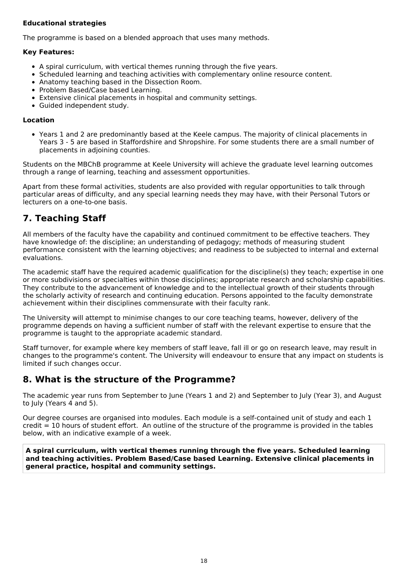#### **Educational strategies**

The programme is based on a blended approach that uses many methods.

#### **Key Features:**

- A spiral curriculum, with vertical themes running through the five years.
- Scheduled learning and teaching activities with complementary online resource content.
- Anatomy teaching based in the Dissection Room.
- Problem Based/Case based Learning.
- Extensive clinical placements in hospital and community settings.
- Guided independent study.

#### **Location**

Years 1 and 2 are predominantly based at the Keele campus. The majority of clinical placements in Years 3 - 5 are based in Staffordshire and Shropshire. For some students there are a small number of placements in adjoining counties.

Students on the MBChB programme at Keele University will achieve the graduate level learning outcomes through a range of learning, teaching and assessment opportunities.

Apart from these formal activities, students are also provided with regular opportunities to talk through particular areas of difficulty, and any special learning needs they may have, with their Personal Tutors or lecturers on a one-to-one basis.

## **7. Teaching Staff**

All members of the faculty have the capability and continued commitment to be effective teachers. They have knowledge of: the discipline; an understanding of pedagogy; methods of measuring student performance consistent with the learning objectives; and readiness to be subjected to internal and external evaluations.

The academic staff have the required academic qualification for the discipline(s) they teach; expertise in one or more subdivisions or specialties within those disciplines; appropriate research and scholarship capabilities. They contribute to the advancement of knowledge and to the intellectual growth of their students through the scholarly activity of research and continuing education. Persons appointed to the faculty demonstrate achievement within their disciplines commensurate with their faculty rank.

The University will attempt to minimise changes to our core teaching teams, however, delivery of the programme depends on having a sufficient number of staff with the relevant expertise to ensure that the programme is taught to the appropriate academic standard.

Staff turnover, for example where key members of staff leave, fall ill or go on research leave, may result in changes to the programme's content. The University will endeavour to ensure that any impact on students is limited if such changes occur.

## **8. What is the structure of the Programme?**

The academic year runs from September to June (Years 1 and 2) and September to July (Year 3), and August to July (Years 4 and 5).

Our degree courses are organised into modules. Each module is a self-contained unit of study and each 1 credit = 10 hours of student effort. An outline of the structure of the programme is provided in the tables below, with an indicative example of a week.

**A spiral curriculum, with vertical themes running through the five years. Scheduled learning and teaching activities. Problem Based/Case based Learning. Extensive clinical placements in general practice, hospital and community settings.**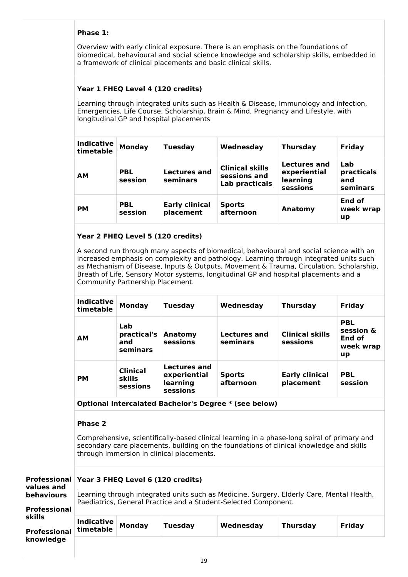#### **Phase 1:**

Overview with early clinical exposure. There is an emphasis on the foundations of biomedical, behavioural and social science knowledge and scholarship skills, embedded in a framework of clinical placements and basic clinical skills.

### **Year 1 FHEQ Level 4 (120 credits)**

Learning through integrated units such as Health & Disease, Immunology and infection, Emergencies, Life Course, Scholarship, Brain & Mind, Pregnancy and Lifestyle, with longitudinal GP and hospital placements

| <b>Indicative</b><br>timetable | <b>Monday</b>         | <b>Tuesday</b>                     | Wednesday                                                | <b>Thursday</b>                                      | Friday                               |
|--------------------------------|-----------------------|------------------------------------|----------------------------------------------------------|------------------------------------------------------|--------------------------------------|
| <b>AM</b>                      | <b>PBL</b><br>session | <b>Lectures and</b><br>seminars    | <b>Clinical skills</b><br>sessions and<br>Lab practicals | Lectures and<br>experiential<br>learning<br>sessions | Lab<br>practicals<br>and<br>seminars |
| <b>PM</b>                      | <b>PBL</b><br>session | <b>Early clinical</b><br>placement | <b>Sports</b><br>afternoon                               | Anatomy                                              | End of<br>week wrap<br>up            |

### **Year 2 FHEQ Level 5 (120 credits)**

A second run through many aspects of biomedical, behavioural and social science with an increased emphasis on complexity and pathology. Learning through integrated units such as Mechanism of Disease, Inputs & Outputs, Movement & Trauma, Circulation, Scholarship, Breath of Life, Sensory Motor systems, longitudinal GP and hospital placements and a Community Partnership Placement.

| <b>Indicative</b><br>timetable | <b>Monday</b>                                         | <b>Tuesday</b>                                       | Wednesday                  | <b>Thursday</b>                    | Friday                                               |  |  |
|--------------------------------|-------------------------------------------------------|------------------------------------------------------|----------------------------|------------------------------------|------------------------------------------------------|--|--|
| <b>AM</b>                      | Lab<br>practical's<br>and<br>seminars                 | Anatomy<br>sessions                                  | Lectures and<br>seminars   | <b>Clinical skills</b><br>sessions | <b>PBL</b><br>session &<br>End of<br>week wrap<br>up |  |  |
| <b>PM</b>                      | <b>Clinical</b><br><b>skills</b><br>sessions          | Lectures and<br>experiential<br>learning<br>sessions | <b>Sports</b><br>afternoon | <b>Early clinical</b><br>placement | <b>PBL</b><br>session                                |  |  |
|                                | Optional Intercalated Bachelor's Degree * (see below) |                                                      |                            |                                    |                                                      |  |  |

#### **Phase 2**

Comprehensive, scientifically-based clinical learning in a phase-long spiral of primary and secondary care placements, building on the foundations of clinical knowledge and skills through immersion in clinical placements.

| Professional Year 3 FHEQ Level 6 (120 credits)<br>values and    |  |               |                |                                                                                                                                                              |                 |        |
|-----------------------------------------------------------------|--|---------------|----------------|--------------------------------------------------------------------------------------------------------------------------------------------------------------|-----------------|--------|
| behaviours<br><b>Professional</b>                               |  |               |                | Learning through integrated units such as Medicine, Surgery, Elderly Care, Mental Health,<br>Paediatrics, General Practice and a Student-Selected Component. |                 |        |
| skills<br><b>Indicative</b><br>timetable<br><b>Professional</b> |  | <b>Monday</b> | <b>Tuesday</b> | Wednesday                                                                                                                                                    | <b>Thursday</b> | Friday |
| knowledge                                                       |  |               |                |                                                                                                                                                              |                 |        |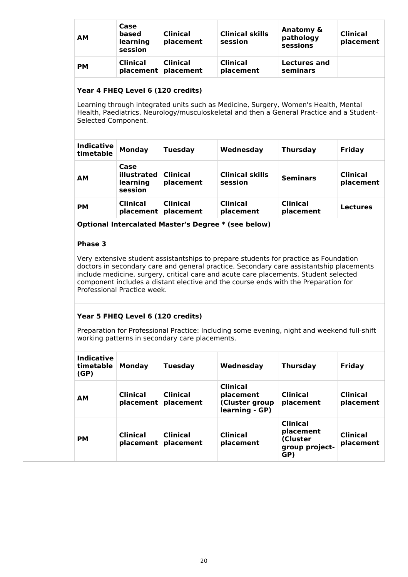| <b>AM</b> | Case<br>based<br>learning<br>session | <b>Clinical</b><br>placement           | <b>Clinical skills</b><br>session | Anatomy &<br>pathology<br>sessions | <b>Clinical</b><br>placement |
|-----------|--------------------------------------|----------------------------------------|-----------------------------------|------------------------------------|------------------------------|
| <b>PM</b> | <b>Clinical</b>                      | <b>Clinical</b><br>placement placement | <b>Clinical</b><br>placement      | <b>Lectures and</b><br>seminars    |                              |

#### **Year 4 FHEQ Level 6 (120 credits)**

Learning through integrated units such as Medicine, Surgery, Women's Health, Mental Health, Paediatrics, Neurology/musculoskeletal and then a General Practice and a Student-Selected Component.

| <b>Indicative</b><br>timetable | <b>Monday</b>                              | <b>Tuesday</b>               | Wednesday                         | <b>Thursday</b>              | Friday                       |
|--------------------------------|--------------------------------------------|------------------------------|-----------------------------------|------------------------------|------------------------------|
| AМ                             | Case<br>illustrated<br>learning<br>session | <b>Clinical</b><br>placement | <b>Clinical skills</b><br>session | <b>Seminars</b>              | <b>Clinical</b><br>placement |
| PМ                             | <b>Clinical</b><br>placement               | <b>Clinical</b><br>placement | <b>Clinical</b><br>placement      | <b>Clinical</b><br>placement | <b>Lectures</b>              |

**Optional Intercalated Master's Degree \* (see below)**

#### **Phase 3**

Very extensive student assistantships to prepare students for practice as Foundation doctors in secondary care and general practice. Secondary care assistantship placements include medicine, surgery, critical care and acute care placements. Student selected component includes a distant elective and the course ends with the Preparation for Professional Practice week.

### **Year 5 FHEQ Level 6 (120 credits)**

Preparation for Professional Practice: Including some evening, night and weekend full-shift working patterns in secondary care placements.

| <b>Indicative</b><br>timetable<br>(GP) | Mondav<br><b>Tuesday</b>     |                              | Wednesday                                                        | <b>Thursday</b>                                                   | Friday                       |
|----------------------------------------|------------------------------|------------------------------|------------------------------------------------------------------|-------------------------------------------------------------------|------------------------------|
| <b>AM</b>                              | <b>Clinical</b><br>placement | <b>Clinical</b><br>placement | <b>Clinical</b><br>placement<br>(Cluster group<br>learning - GP) | <b>Clinical</b><br>placement                                      | <b>Clinical</b><br>placement |
| <b>PM</b>                              | <b>Clinical</b><br>placement | <b>Clinical</b><br>placement | <b>Clinical</b><br>placement                                     | <b>Clinical</b><br>placement<br>(Cluster<br>group project-<br>GP) | <b>Clinical</b><br>placement |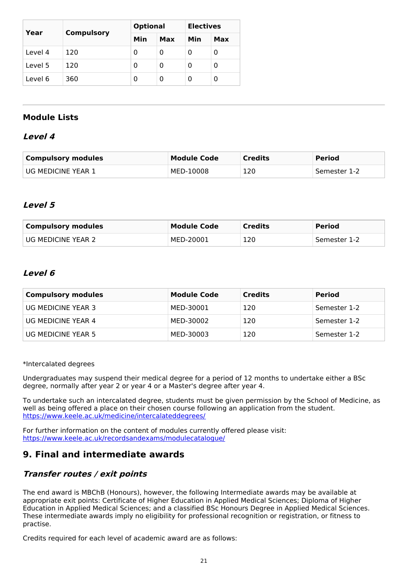| Year    |                   | <b>Optional</b> |     | <b>Electives</b> |     |
|---------|-------------------|-----------------|-----|------------------|-----|
|         | <b>Compulsory</b> | Min             | Max | Min              | Max |
| Level 4 | 120               | 0               | 0   | 0                | 0   |
| Level 5 | 120               | 0               | 0   | 0                | 0   |
| Level 6 | 360               | 0               | 0   | Ω                | 0   |

## **Module Lists**

### **Level 4**

| Compulsory modules   | <b>Module Code</b> | <b>Credits</b> | <b>Period</b> |
|----------------------|--------------------|----------------|---------------|
| ' UG MEDICINE YEAR 1 | MED-10008          | 120            | Semester 1-2  |

### **Level 5**

| <b>Compulsory modules</b> | <b>Module Code</b> | <b>Credits</b> | <b>Period</b> |
|---------------------------|--------------------|----------------|---------------|
| UG MEDICINE YEAR 2        | MED-20001          | 120            | Semester 1-2  |

### **Level 6**

| <b>Compulsory modules</b> | <b>Module Code</b> | <b>Credits</b> | <b>Period</b> |
|---------------------------|--------------------|----------------|---------------|
| UG MEDICINE YEAR 3        | MED-30001          | 120            | Semester 1-2  |
| UG MEDICINE YEAR 4        | MED-30002          | 120            | Semester 1-2  |
| UG MEDICINE YEAR 5        | MED-30003          | 120            | Semester 1-2  |

\*Intercalated degrees

Undergraduates may suspend their medical degree for a period of 12 months to undertake either a BSc degree, normally after year 2 or year 4 or a Master's degree after year 4.

To undertake such an intercalated degree, students must be given permission by the School of Medicine, as well as being offered a place on their chosen course following an application from the student. <https://www.keele.ac.uk/medicine/intercalateddegrees/>

For further information on the content of modules currently offered please visit: [https://www.keele.ac.uk/recordsandexams/modulecatalogue/](http://https//www.keele.ac.uk/recordsandexams/modulecatalogue/)

## **9. Final and intermediate awards**

## **Transfer routes / exit points**

The end award is MBChB (Honours), however, the following Intermediate awards may be available at appropriate exit points: Certificate of Higher Education in Applied Medical Sciences; Diploma of Higher Education in Applied Medical Sciences; and a classified BSc Honours Degree in Applied Medical Sciences. These intermediate awards imply no eligibility for professional recognition or registration, or fitness to practise.

Credits required for each level of academic award are as follows: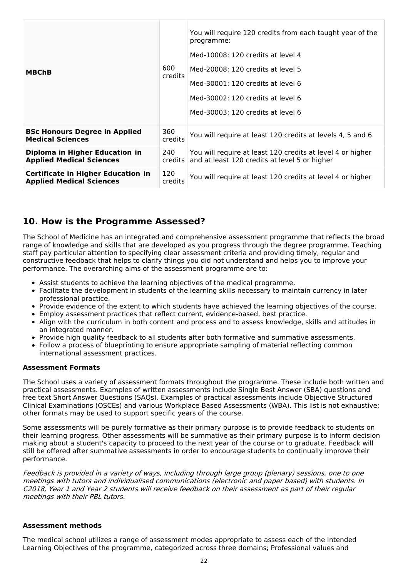| <b>MBChB</b>                                                                 | 600<br>credits    | You will require 120 credits from each taught year of the<br>programme:<br>Med-10008: 120 credits at level 4<br>Med-20008: 120 credits at level 5<br>Med-30001: 120 credits at level 6<br>Med-30002: 120 credits at level 6<br>Med-30003: 120 credits at level 6 |  |
|------------------------------------------------------------------------------|-------------------|------------------------------------------------------------------------------------------------------------------------------------------------------------------------------------------------------------------------------------------------------------------|--|
| <b>BSc Honours Degree in Applied</b><br><b>Medical Sciences</b>              | 360<br>credits    | You will require at least 120 credits at levels 4, 5 and 6                                                                                                                                                                                                       |  |
| Diploma in Higher Education in<br><b>Applied Medical Sciences</b>            | 240<br>$c$ redits | You will require at least 120 credits at level 4 or higher<br>and at least 120 credits at level 5 or higher                                                                                                                                                      |  |
| <b>Certificate in Higher Education in</b><br><b>Applied Medical Sciences</b> | 120<br>credits    | You will require at least 120 credits at level 4 or higher                                                                                                                                                                                                       |  |

## **10. How is the Programme Assessed?**

The School of Medicine has an integrated and comprehensive assessment programme that reflects the broad range of knowledge and skills that are developed as you progress through the degree programme. Teaching staff pay particular attention to specifying clear assessment criteria and providing timely, regular and constructive feedback that helps to clarify things you did not understand and helps you to improve your performance. The overarching aims of the assessment programme are to:

- Assist students to achieve the learning objectives of the medical programme.
- Facilitate the development in students of the learning skills necessary to maintain currency in later professional practice.
- Provide evidence of the extent to which students have achieved the learning objectives of the course.
- Employ assessment practices that reflect current, evidence-based, best practice.
- Align with the curriculum in both content and process and to assess knowledge, skills and attitudes in an integrated manner.
- Provide high quality feedback to all students after both formative and summative assessments.
- Follow a process of blueprinting to ensure appropriate sampling of material reflecting common international assessment practices.

#### **Assessment Formats**

The School uses a variety of assessment formats throughout the programme. These include both written and practical assessments. Examples of written assessments include Single Best Answer (SBA) questions and free text Short Answer Questions (SAQs). Examples of practical assessments include Objective Structured Clinical Examinations (OSCEs) and various Workplace Based Assessments (WBA). This list is not exhaustive; other formats may be used to support specific years of the course.

Some assessments will be purely formative as their primary purpose is to provide feedback to students on their learning progress. Other assessments will be summative as their primary purpose is to inform decision making about a student's capacity to proceed to the next year of the course or to graduate. Feedback will still be offered after summative assessments in order to encourage students to continually improve their performance.

Feedback is provided in <sup>a</sup> variety of ways, including through large group (plenary) sessions, one to one meetings with tutors and individualised communications (electronic and paper based) with students. In C2018, Year 1 and Year 2 students will receive feedback on their assessment as part of their regular meetings with their PBL tutors.

#### **Assessment methods**

The medical school utilizes a range of assessment modes appropriate to assess each of the Intended Learning Objectives of the programme, categorized across three domains; Professional values and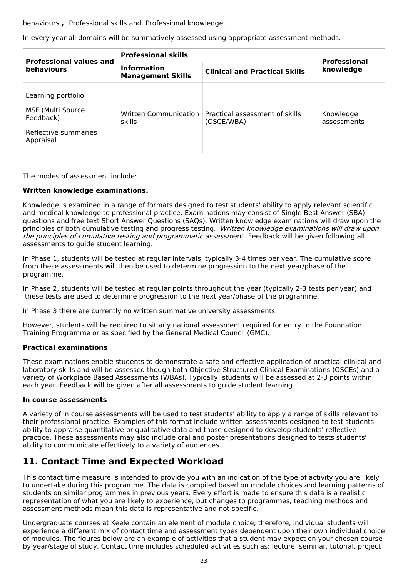behaviours **,** Professional skills and Professional knowledge.

In every year all domains will be summatively assessed using appropriate assessment methods.

| <b>Professional values and</b><br><b>behaviours</b>                                       | <b>Professional skills</b>                     | <b>Professional</b>                                                  |                          |
|-------------------------------------------------------------------------------------------|------------------------------------------------|----------------------------------------------------------------------|--------------------------|
|                                                                                           | <b>Information</b><br><b>Management Skills</b> | <b>Clinical and Practical Skills</b>                                 | knowledge                |
| Learning portfolio<br>MSF (Multi Source<br>Feedback)<br>Reflective summaries<br>Appraisal | skills                                         | Written Communication   Practical assessment of skills<br>(OSCE/WBA) | Knowledge<br>assessments |

The modes of assessment include:

#### **Written knowledge examinations.**

Knowledge is examined in a range of formats designed to test students' ability to apply relevant scientific and medical knowledge to professional practice. Examinations may consist of Single Best Answer (SBA) questions and free text Short Answer Questions (SAQs). Written knowledge examinations will draw upon the principles of both cumulative testing and progress testing. Written knowledge examinations will draw upon the principles of cumulative testing and programmatic assessment. Feedback will be given following all assessments to guide student learning.

In Phase 1, students will be tested at regular intervals, typically 3-4 times per year. The cumulative score from these assessments will then be used to determine progression to the next year/phase of the programme.

In Phase 2, students will be tested at regular points throughout the year (typically 2-3 tests per year) and these tests are used to determine progression to the next year/phase of the programme.

In Phase 3 there are currently no written summative university assessments.

However, students will be required to sit any national assessment required for entry to the Foundation Training Programme or as specified by the General Medical Council (GMC).

#### **Practical examinations**

These examinations enable students to demonstrate a safe and effective application of practical clinical and laboratory skills and will be assessed though both Objective Structured Clinical Examinations (OSCEs) and a variety of Workplace Based Assessments (WBAs). Typically, students will be assessed at 2-3 points within each year. Feedback will be given after all assessments to guide student learning.

#### **In course assessments**

A variety of in course assessments will be used to test students' ability to apply a range of skills relevant to their professional practice. Examples of this format include written assessments designed to test students' ability to appraise quantitative or qualitative data and those designed to develop students' reflective practice. These assessments may also include oral and poster presentations designed to tests students' ability to communicate effectively to a variety of audiences.

## **11. Contact Time and Expected Workload**

This contact time measure is intended to provide you with an indication of the type of activity you are likely to undertake during this programme. The data is compiled based on module choices and learning patterns of students on similar programmes in previous years. Every effort is made to ensure this data is a realistic representation of what you are likely to experience, but changes to programmes, teaching methods and assessment methods mean this data is representative and not specific.

Undergraduate courses at Keele contain an element of module choice; therefore, individual students will experience a different mix of contact time and assessment types dependent upon their own individual choice of modules. The figures below are an example of activities that a student may expect on your chosen course by year/stage of study. Contact time includes scheduled activities such as: lecture, seminar, tutorial, project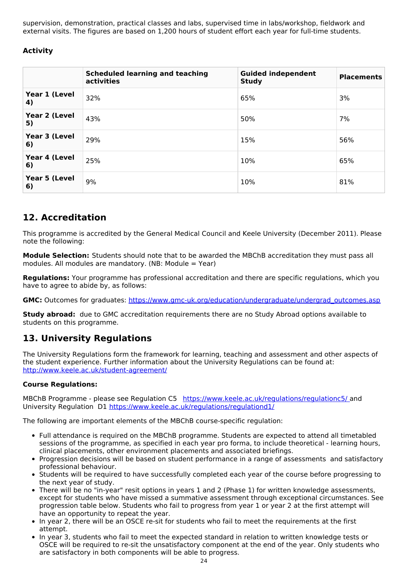supervision, demonstration, practical classes and labs, supervised time in labs/workshop, fieldwork and external visits. The figures are based on 1,200 hours of student effort each year for full-time students.

### **Activity**

|                     | <b>Scheduled learning and teaching</b><br>activities | <b>Guided independent</b><br><b>Study</b> | <b>Placements</b> |
|---------------------|------------------------------------------------------|-------------------------------------------|-------------------|
| Year 1 (Level<br>4) | 32%                                                  | 65%                                       | 3%                |
| Year 2 (Level<br>5) | 43%                                                  | 50%                                       | 7%                |
| Year 3 (Level<br>6) | 29%                                                  | 15%                                       | 56%               |
| Year 4 (Level<br>6) | 25%                                                  | 10%                                       | 65%               |
| Year 5 (Level<br>6) | 9%                                                   | 10%                                       | 81%               |

## **12. Accreditation**

This programme is accredited by the General Medical Council and Keele University (December 2011). Please note the following:

**Module Selection:** Students should note that to be awarded the MBChB accreditation they must pass all modules. All modules are mandatory. (NB: Module = Year)

**Regulations:** Your programme has professional accreditation and there are specific regulations, which you have to agree to abide by, as follows:

GMC: Outcomes for graduates: [https://www.gmc-uk.org/education/undergraduate/undergrad\\_outcomes.asp](https://www.gmc-uk.org/education/undergraduate/undergrad_outcomes.asp)

**Study abroad:** due to GMC accreditation requirements there are no Study Abroad options available to students on this programme.

## **13. University Regulations**

The University Regulations form the framework for learning, teaching and assessment and other aspects of the student experience. Further information about the University Regulations can be found at: <http://www.keele.ac.uk/student-agreement/>

#### **Course Regulations:**

MBChB Programme - please see Regulation C5 <https://www.keele.ac.uk/regulations/regulationc5/> and University Regulation D1 <https://www.keele.ac.uk/regulations/regulationd1/>

The following are important elements of the MBChB course-specific regulation:

- Full attendance is required on the MBChB programme. Students are expected to attend all timetabled sessions of the programme, as specified in each year pro forma, to include theoretical - learning hours, clinical placements, other environment placements and associated briefings.
- Progression decisions will be based on student performance in a range of assessments and satisfactory professional behaviour.
- Students will be required to have successfully completed each year of the course before progressing to the next year of study.
- There will be no "in-year" resit options in years 1 and 2 (Phase 1) for written knowledge assessments, except for students who have missed a summative assessment through exceptional circumstances. See progression table below. Students who fail to progress from year 1 or year 2 at the first attempt will have an opportunity to repeat the year.
- In year 2, there will be an OSCE re-sit for students who fail to meet the requirements at the first attempt.
- In year 3, students who fail to meet the expected standard in relation to written knowledge tests or OSCE will be required to re-sit the unsatisfactory component at the end of the year. Only students who are satisfactory in both components will be able to progress.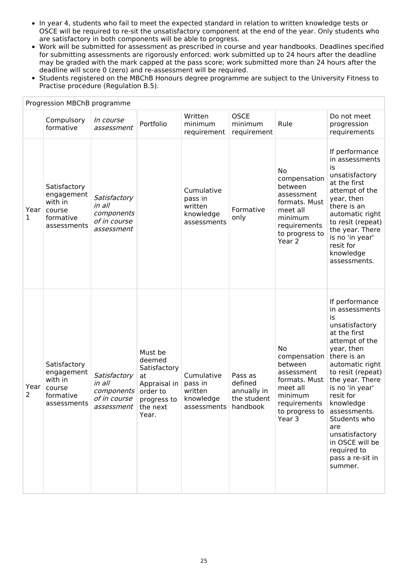- In year 4, students who fail to meet the expected standard in relation to written knowledge tests or OSCE will be required to re-sit the unsatisfactory component at the end of the year. Only students who are satisfactory in both components will be able to progress.
- Work will be submitted for assessment as prescribed in course and year handbooks. Deadlines specified for submitting assessments are rigorously enforced: work submitted up to 24 hours after the deadline may be graded with the mark capped at the pass score; work submitted more than 24 hours after the deadline will score 0 (zero) and re-assessment will be required.
- Students registered on the MBChB Honours degree programme are subject to the University Fitness to Practise procedure (Regulation B.5).

|           | Progression MBChB programme                                                 |                                                                                      |                                                                                             |                                                                         |                                                  |                                                                                                                                                             |                                                                                                                                                                                                                                                                                                                                           |
|-----------|-----------------------------------------------------------------------------|--------------------------------------------------------------------------------------|---------------------------------------------------------------------------------------------|-------------------------------------------------------------------------|--------------------------------------------------|-------------------------------------------------------------------------------------------------------------------------------------------------------------|-------------------------------------------------------------------------------------------------------------------------------------------------------------------------------------------------------------------------------------------------------------------------------------------------------------------------------------------|
|           | Compulsory<br>formative                                                     | <i>In course</i><br>assessment                                                       | Portfolio                                                                                   | Written<br>minimum<br>requirement                                       | <b>OSCE</b><br>minimum<br>requirement            | Rule                                                                                                                                                        | Do not meet<br>progression<br>requirements                                                                                                                                                                                                                                                                                                |
| Year<br>1 | Satisfactory<br>engagement<br>with in<br>course<br>formative<br>assessments | Satisfactory<br>in all<br>components<br>of in course<br>assessment                   |                                                                                             | Cumulative<br>pass in<br>written<br>knowledge<br>assessments            | Formative<br>only                                | <b>No</b><br>compensation<br>between<br>assessment<br>formats. Must<br>meet all<br>minimum<br>requirements<br>to progress to<br>Year 2                      | If performance<br>in assessments<br>is<br>unsatisfactory<br>at the first<br>attempt of the<br>year, then<br>there is an<br>automatic right<br>to resit (repeat)<br>the year. There<br>is no 'in year'<br>resit for<br>knowledge<br>assessments.                                                                                           |
| Year<br>2 | Satisfactory<br>engagement<br>with in<br>course<br>formative<br>assessments | Satisfactory<br>in all<br>components<br>of in course<br><i>assessment</i>   the next | Must be<br>deemed<br>Satisfactory<br>at<br>Appraisal in<br>order to<br>progress to<br>Year. | Cumulative<br>pass in<br>written<br>knowledge<br>assessments   handbook | Pass as<br>defined<br>annually in<br>the student | <b>No</b><br>compensation<br>between<br>assessment<br>formats. Must<br>meet all<br>minimum<br>requirements<br>to progress to $\vert$ assessments.<br>Year 3 | If performance<br>in assessments<br>is<br>unsatisfactory<br>at the first<br>attempt of the<br>year, then<br>there is an<br>automatic right<br>to resit (repeat)<br>the year. There<br>is no 'in year'<br>resit for<br>knowledge<br>Students who<br>are<br>unsatisfactory<br>in OSCE will be<br>required to<br>pass a re-sit in<br>summer. |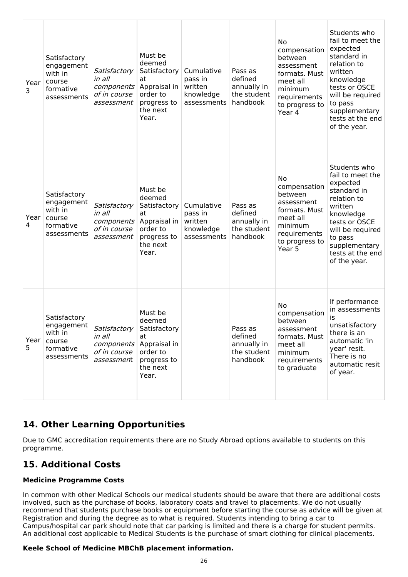| Year<br>3 | Satisfactory<br>engagement<br>with in<br>course<br>formative<br>assessments | Satisfactory<br>in all<br>components<br>of in course<br>assessment | Must be<br>deemed<br>Satisfactory<br>at<br>Appraisal in<br>order to<br>progress to<br>the next<br>Year.                   | Cumulative<br>pass in<br>written<br>knowledge<br>assessments | Pass as<br>defined<br>annually in<br>the student<br>handbook | <b>No</b><br>compensation<br>between<br>assessment<br>formats. Must<br>meet all<br>minimum<br>requirements<br>to progress to<br>Year 4 | Students who<br>fail to meet the<br>expected<br>standard in<br>relation to<br>written<br>knowledge<br>tests or OSCE<br>will be required<br>to pass<br>supplementary<br>tests at the end<br>of the year. |
|-----------|-----------------------------------------------------------------------------|--------------------------------------------------------------------|---------------------------------------------------------------------------------------------------------------------------|--------------------------------------------------------------|--------------------------------------------------------------|----------------------------------------------------------------------------------------------------------------------------------------|---------------------------------------------------------------------------------------------------------------------------------------------------------------------------------------------------------|
| Year<br>4 | Satisfactory<br>engagement<br>with in<br>course<br>formative<br>assessments | Satisfactory<br>in all<br>of in course<br>assessment               | Must be<br>deemed<br>Satisfactory<br>at<br><i>components</i> Appraisal in<br>order to<br>progress to<br>the next<br>Year. | Cumulative<br>pass in<br>written<br>knowledge<br>assessments | Pass as<br>defined<br>annually in<br>the student<br>handbook | <b>No</b><br>compensation<br>between<br>assessment<br>formats. Must<br>meet all<br>minimum<br>requirements<br>to progress to<br>Year 5 | Students who<br>fail to meet the<br>expected<br>standard in<br>relation to<br>written<br>knowledge<br>tests or OSCE<br>will be required<br>to pass<br>supplementary<br>tests at the end<br>of the year. |
| Year<br>5 | Satisfactory<br>engagement<br>with in<br>course<br>formative<br>assessments | Satisfactory<br>in all<br>of in course<br>assessment               | Must be<br>deemed<br>Satisfactory<br>at<br><i>components</i> Appraisal in<br>order to<br>progress to<br>the next<br>Year. |                                                              | Pass as<br>defined<br>annually in<br>the student<br>handbook | No<br>compensation<br>between<br>assessment<br>formats. Must<br>meet all<br>minimum<br>requirements<br>to graduate                     | If performance<br>in assessments<br>is<br>unsatisfactory<br>there is an<br>automatic 'in<br>year' resit.<br>There is no<br>automatic resit<br>of year.                                                  |

## **14. Other Learning Opportunities**

Due to GMC accreditation requirements there are no Study Abroad options available to students on this programme.

## **15. Additional Costs**

### **Medicine Programme Costs**

In common with other Medical Schools our medical students should be aware that there are additional costs involved, such as the purchase of books, laboratory coats and travel to placements. We do not usually recommend that students purchase books or equipment before starting the course as advice will be given at Registration and during the degree as to what is required. Students intending to bring a car to Campus/hospital car park should note that car parking is limited and there is a charge for student permits. An additional cost applicable to Medical Students is the purchase of smart clothing for clinical placements.

### **Keele School of Medicine MBChB placement information.**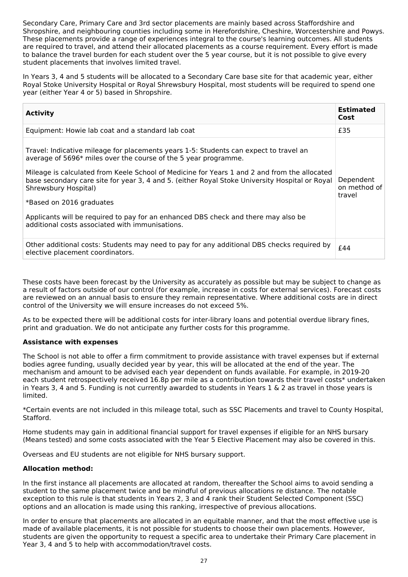Secondary Care, Primary Care and 3rd sector placements are mainly based across Staffordshire and Shropshire, and neighbouring counties including some in Herefordshire, Cheshire, Worcestershire and Powys. These placements provide a range of experiences integral to the course's learning outcomes. All students are required to travel, and attend their allocated placements as a course requirement. Every effort is made to balance the travel burden for each student over the 5 year course, but it is not possible to give every student placements that involves limited travel.

In Years 3, 4 and 5 students will be allocated to a Secondary Care base site for that academic year, either Royal Stoke University Hospital or Royal Shrewsbury Hospital, most students will be required to spend one year (either Year 4 or 5) based in Shropshire.

| <b>Activity</b>                                                                                                                                                                                                                                                                                                                                                                                                                                                                                                                                         | <b>Estimated</b><br>Cost            |
|---------------------------------------------------------------------------------------------------------------------------------------------------------------------------------------------------------------------------------------------------------------------------------------------------------------------------------------------------------------------------------------------------------------------------------------------------------------------------------------------------------------------------------------------------------|-------------------------------------|
| Equipment: Howie lab coat and a standard lab coat                                                                                                                                                                                                                                                                                                                                                                                                                                                                                                       | £35                                 |
| Travel: Indicative mileage for placements years 1-5: Students can expect to travel an<br>average of 5696* miles over the course of the 5 year programme.<br>Mileage is calculated from Keele School of Medicine for Years 1 and 2 and from the allocated<br>base secondary care site for year 3, 4 and 5. (either Royal Stoke University Hospital or Royal<br>Shrewsbury Hospital)<br>*Based on 2016 graduates<br>Applicants will be required to pay for an enhanced DBS check and there may also be<br>additional costs associated with immunisations. | Dependent<br>on method of<br>travel |
| Other additional costs: Students may need to pay for any additional DBS checks required by<br>elective placement coordinators.                                                                                                                                                                                                                                                                                                                                                                                                                          | £44                                 |

These costs have been forecast by the University as accurately as possible but may be subject to change as a result of factors outside of our control (for example, increase in costs for external services). Forecast costs are reviewed on an annual basis to ensure they remain representative. Where additional costs are in direct control of the University we will ensure increases do not exceed 5%.

As to be expected there will be additional costs for inter-library loans and potential overdue library fines, print and graduation. We do not anticipate any further costs for this programme.

#### **Assistance with expenses**

The School is not able to offer a firm commitment to provide assistance with travel expenses but if external bodies agree funding, usually decided year by year, this will be allocated at the end of the year. The mechanism and amount to be advised each year dependent on funds available. For example, in 2019-20 each student retrospectively received 16.8p per mile as a contribution towards their travel costs\* undertaken in Years 3, 4 and 5. Funding is not currently awarded to students in Years 1 & 2 as travel in those years is limited.

\*Certain events are not included in this mileage total, such as SSC Placements and travel to County Hospital, Stafford.

Home students may gain in additional financial support for travel expenses if eligible for an NHS bursary (Means tested) and some costs associated with the Year 5 Elective Placement may also be covered in this.

Overseas and EU students are not eligible for NHS bursary support.

#### **Allocation method:**

In the first instance all placements are allocated at random, thereafter the School aims to avoid sending a student to the same placement twice and be mindful of previous allocations re distance. The notable exception to this rule is that students in Years 2, 3 and 4 rank their Student Selected Component (SSC) options and an allocation is made using this ranking, irrespective of previous allocations.

In order to ensure that placements are allocated in an equitable manner, and that the most effective use is made of available placements, it is not possible for students to choose their own placements. However, students are given the opportunity to request a specific area to undertake their Primary Care placement in Year 3, 4 and 5 to help with accommodation/travel costs.